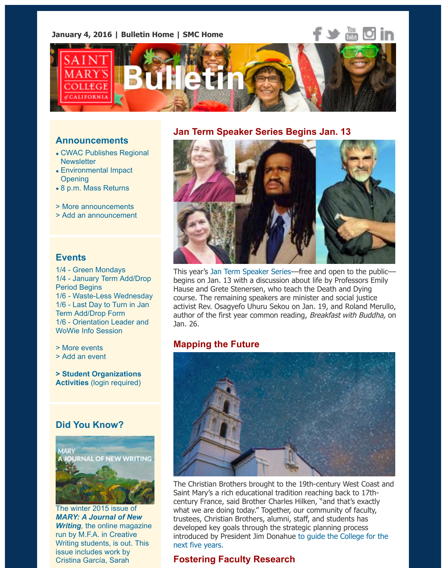

#### **Announcements**

- CWAC Publishes Regional **Newsletter**
- Environmental Impact **Opening**
- 8 p.m. Mass Returns
- > More announcements
- > Add an announcement

#### **[Events](http://www.stmarys-ca.edu/environmental-impact-opening?utm_source=Bulletin&utm_medium=email&utm_content=announcement_test&utm_campaign=01-04-2016)**

1[/4 - Green Mondays](http://www.stmarys-ca.edu/8-pm-mass-returns-tonight-1-3-16?utm_source=Bulletin&utm_medium=email&utm_content=announcement_test&utm_campaign=01-04-2016) 1/4 - January Term Add/Drop [Period Begins](http://www.stmarys-ca.edu/smc-bulletin/announcements?utm_source=Bulletin&utm_medium=email&utm_content=announcement_test&utm_campaign=01-04-2016) [1/6 - Waste-Less Wednes](http://www.stmarys-ca.edu/node/add/announcement?utm_source=Bulletin&utm_medium=email&utm_content=announcement_test&utm_campaign=01-04-2016)day 1/6 - Last Day to Turn in Jan Term Add/Drop Form 1/6 - Orientation Leader and WoWie Info Session

> M[ore events](http://www.stmarys-ca.edu/green-mondays?utm_source=Bulletin&utm_medium=email&utm_content=event_test&utm_campaign=01-04-2016)

[> Add an event](http://www.stmarys-ca.edu/january-term-2016-adddrop-period?utm_source=Bulletin&utm_medium=email&utm_content=event_test&utm_campaign=01-04-2016)

**> St[udent Organizations](http://www.stmarys-ca.edu/waste-less-wednesday?utm_source=Bulletin&utm_medium=email&utm_content=event_test&utm_campaign=01-04-2016) Activities** [\(login required\)](http://www.stmarys-ca.edu/last-day-to-turn-in-your-adddrop-form-for-jan-term-2016?utm_source=Bulletin&utm_medium=email&utm_content=event_test&utm_campaign=01-04-2016)

# **[Did You Kn](http://www.stmarys-ca.edu/events?utm_source=Bulletin&utm_medium=email&utm_content=event_test&utm_campaign=01-04-2015)ow?**



The winter 2015 issue of *MARY: A Journal of New Writing,* the online magazine run by M.F.A. in Creative Writing students, is out. This issue includes work by Cristina García, Sarah

#### **Jan Term Speaker Series Begins Jan. 13**



This year's Jan Term Speaker Series–free and open to the pul begins on Jan. 13 with a discussion about life by Professors En Hause and Grete Stenersen, who teach the Death and Dying course. The remaining speakers are minister and social justice activist Rev. Osagyefo Uhuru Sekou on Jan. 19, and Roland Me author of the first year common reading, Breakfast with Buddh Jan. 26.

# **Mappin[g the Future](http://www.stmarys-ca.edu/jan-term-2016-speaker-series-features-author-roland-merullo-activist-rev-osagyefo-sekou-and-explores?utm_source=Bulletin&utm_medium=email&utm_content=feature_test&utm_campaign=01-04-2016)**



The Christian Brothers brought to the 19th-century West Coast Saint Mary's a rich educational tradition reaching back to 17thcentury France, said Brother Charles Hilken, "and that's exactly what we are doing today." Together, our community of faculty, trustees, Christian Brothers, alumni, staff, and students has developed key goals through the strategic planning process introduced by President Jim Donahue to guide the College for the next five years.

# **Fostering Faculty Research**